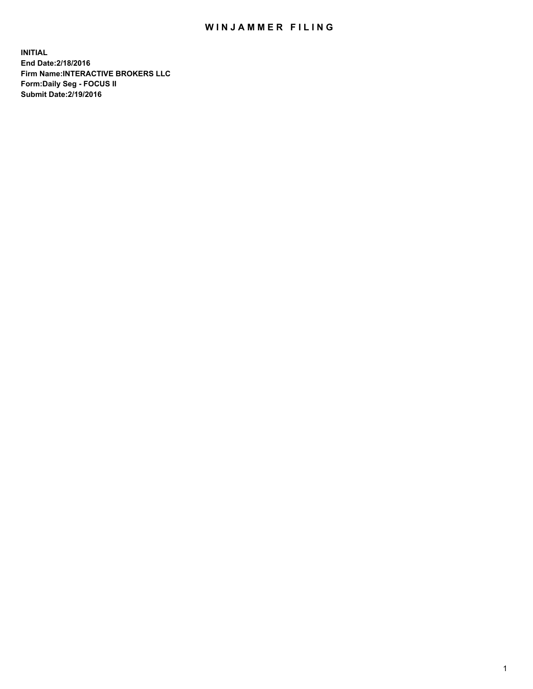## WIN JAMMER FILING

**INITIAL End Date:2/18/2016 Firm Name:INTERACTIVE BROKERS LLC Form:Daily Seg - FOCUS II Submit Date:2/19/2016**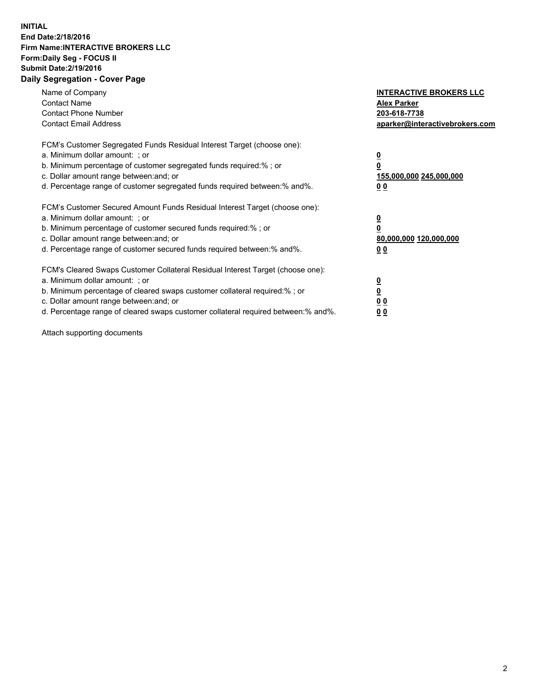## **INITIAL End Date:2/18/2016 Firm Name:INTERACTIVE BROKERS LLC Form:Daily Seg - FOCUS II Submit Date:2/19/2016 Daily Segregation - Cover Page**

| Name of Company<br><b>Contact Name</b><br><b>Contact Phone Number</b><br><b>Contact Email Address</b>                                                                                                                                                                                                                          | <b>INTERACTIVE BROKERS LLC</b><br><b>Alex Parker</b><br>203-618-7738<br>aparker@interactivebrokers.com |
|--------------------------------------------------------------------------------------------------------------------------------------------------------------------------------------------------------------------------------------------------------------------------------------------------------------------------------|--------------------------------------------------------------------------------------------------------|
| FCM's Customer Segregated Funds Residual Interest Target (choose one):<br>a. Minimum dollar amount: ; or<br>b. Minimum percentage of customer segregated funds required:%; or<br>c. Dollar amount range between: and; or<br>d. Percentage range of customer segregated funds required between:% and%.                          | <u>0</u><br>155,000,000 245,000,000<br><u>00</u>                                                       |
| FCM's Customer Secured Amount Funds Residual Interest Target (choose one):<br>a. Minimum dollar amount: ; or<br>b. Minimum percentage of customer secured funds required:%; or<br>c. Dollar amount range between: and; or<br>d. Percentage range of customer secured funds required between:% and%.                            | <u>0</u><br>80,000,000 120,000,000<br><u>00</u>                                                        |
| FCM's Cleared Swaps Customer Collateral Residual Interest Target (choose one):<br>a. Minimum dollar amount: ; or<br>b. Minimum percentage of cleared swaps customer collateral required:% ; or<br>c. Dollar amount range between: and; or<br>d. Percentage range of cleared swaps customer collateral required between:% and%. | <u>0</u><br>0 <sub>0</sub><br>0 <sub>0</sub>                                                           |

Attach supporting documents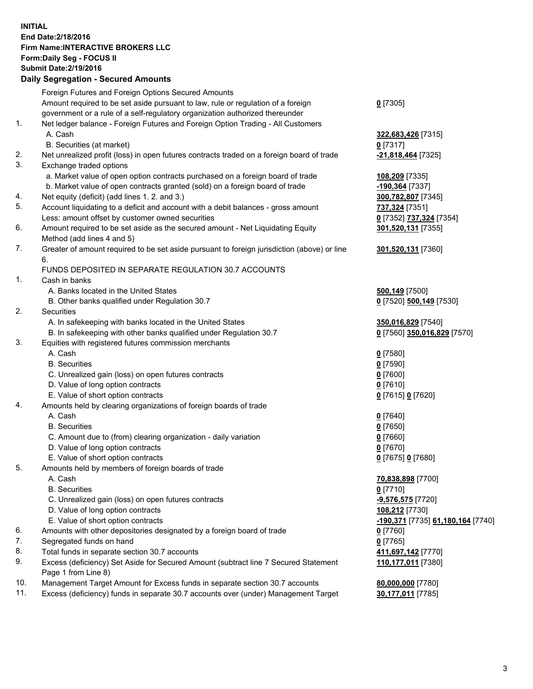## **INITIAL End Date:2/18/2016 Firm Name:INTERACTIVE BROKERS LLC Form:Daily Seg - FOCUS II Submit Date:2/19/2016 Daily Segregation - Secured Amounts**

|     | Daily Ocglegation - Occarea Anioants                                                        |                                   |
|-----|---------------------------------------------------------------------------------------------|-----------------------------------|
|     | Foreign Futures and Foreign Options Secured Amounts                                         |                                   |
|     | Amount required to be set aside pursuant to law, rule or regulation of a foreign            | $0$ [7305]                        |
|     | government or a rule of a self-regulatory organization authorized thereunder                |                                   |
| 1.  | Net ledger balance - Foreign Futures and Foreign Option Trading - All Customers             |                                   |
|     | A. Cash                                                                                     | 322,683,426 [7315]                |
|     | B. Securities (at market)                                                                   | $0$ [7317]                        |
| 2.  | Net unrealized profit (loss) in open futures contracts traded on a foreign board of trade   | -21,818,464 [7325]                |
| 3.  | Exchange traded options                                                                     |                                   |
|     | a. Market value of open option contracts purchased on a foreign board of trade              | 108,209 [7335]                    |
|     | b. Market value of open contracts granted (sold) on a foreign board of trade                | 190,364 [7337]                    |
| 4.  | Net equity (deficit) (add lines 1.2. and 3.)                                                | 300,782,807 [7345]                |
| 5.  | Account liquidating to a deficit and account with a debit balances - gross amount           | 737,324 [7351]                    |
|     | Less: amount offset by customer owned securities                                            | 0 [7352] 737,324 [7354]           |
| 6.  | Amount required to be set aside as the secured amount - Net Liquidating Equity              | 301,520,131 [7355]                |
|     | Method (add lines 4 and 5)                                                                  |                                   |
| 7.  | Greater of amount required to be set aside pursuant to foreign jurisdiction (above) or line | 301,520,131 [7360]                |
|     | 6.                                                                                          |                                   |
|     | FUNDS DEPOSITED IN SEPARATE REGULATION 30.7 ACCOUNTS                                        |                                   |
| 1.  | Cash in banks                                                                               |                                   |
|     | A. Banks located in the United States                                                       | 500,149 [7500]                    |
|     | B. Other banks qualified under Regulation 30.7                                              | 0 [7520] 500,149 [7530]           |
| 2.  | Securities                                                                                  |                                   |
|     | A. In safekeeping with banks located in the United States                                   | 350,016,829 [7540]                |
|     | B. In safekeeping with other banks qualified under Regulation 30.7                          | 0 [7560] 350,016,829 [7570]       |
| 3.  | Equities with registered futures commission merchants                                       |                                   |
|     | A. Cash                                                                                     | $0$ [7580]                        |
|     | <b>B.</b> Securities                                                                        | $0$ [7590]                        |
|     | C. Unrealized gain (loss) on open futures contracts                                         | $0$ [7600]                        |
|     | D. Value of long option contracts                                                           | $0$ [7610]                        |
|     | E. Value of short option contracts                                                          | 0 [7615] 0 [7620]                 |
| 4.  | Amounts held by clearing organizations of foreign boards of trade                           |                                   |
|     | A. Cash                                                                                     | $0$ [7640]                        |
|     | <b>B.</b> Securities                                                                        | $0$ [7650]                        |
|     | C. Amount due to (from) clearing organization - daily variation                             | $0$ [7660]                        |
|     | D. Value of long option contracts                                                           | $0$ [7670]                        |
|     | E. Value of short option contracts                                                          | 0 [7675] 0 [7680]                 |
| 5.  | Amounts held by members of foreign boards of trade                                          |                                   |
|     | A. Cash                                                                                     | 70,838,898 [7700]                 |
|     | <b>B.</b> Securities                                                                        | $0$ [7710]                        |
|     | C. Unrealized gain (loss) on open futures contracts                                         | $-9,576,575$ [7720]               |
|     | D. Value of long option contracts                                                           | 108,212 [7730]                    |
|     | E. Value of short option contracts                                                          | -190,371 [7735] 61,180,164 [7740] |
| 6.  | Amounts with other depositories designated by a foreign board of trade                      | 0 [7760]                          |
| 7.  | Segregated funds on hand                                                                    | $0$ [7765]                        |
| 8.  | Total funds in separate section 30.7 accounts                                               | 411,697,142 [7770]                |
| 9.  | Excess (deficiency) Set Aside for Secured Amount (subtract line 7 Secured Statement         | 110,177,011 [7380]                |
|     | Page 1 from Line 8)                                                                         |                                   |
| 10. | Management Target Amount for Excess funds in separate section 30.7 accounts                 | 80,000,000 [7780]                 |
| 11. | Excess (deficiency) funds in separate 30.7 accounts over (under) Management Target          | 30,177,011 [7785]                 |
|     |                                                                                             |                                   |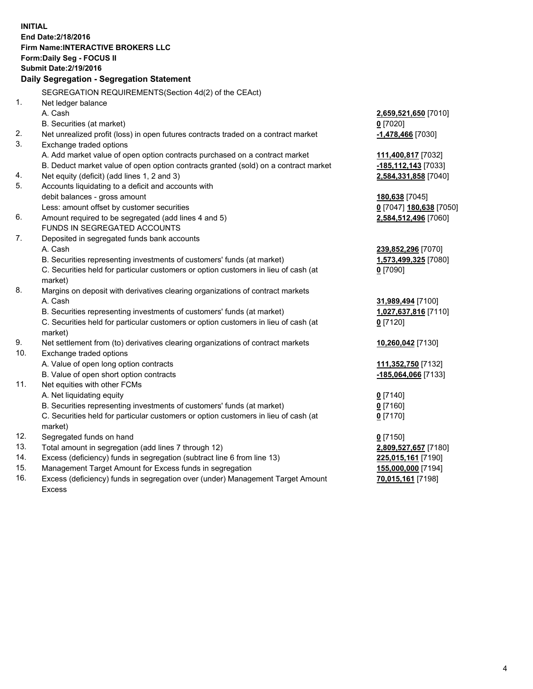**INITIAL End Date:2/18/2016 Firm Name:INTERACTIVE BROKERS LLC Form:Daily Seg - FOCUS II Submit Date:2/19/2016 Daily Segregation - Segregation Statement** SEGREGATION REQUIREMENTS(Section 4d(2) of the CEAct) 1. Net ledger balance A. Cash **2,659,521,650** [7010] B. Securities (at market) **0** [7020] 2. Net unrealized profit (loss) in open futures contracts traded on a contract market **-1,478,466** [7030] 3. Exchange traded options A. Add market value of open option contracts purchased on a contract market **111,400,817** [7032] B. Deduct market value of open option contracts granted (sold) on a contract market **-185,112,143** [7033] 4. Net equity (deficit) (add lines 1, 2 and 3) **2,584,331,858** [7040] 5. Accounts liquidating to a deficit and accounts with debit balances - gross amount **180,638** [7045] Less: amount offset by customer securities **0** [7047] **180,638** [7050] 6. Amount required to be segregated (add lines 4 and 5) **2,584,512,496** [7060] FUNDS IN SEGREGATED ACCOUNTS 7. Deposited in segregated funds bank accounts A. Cash **239,852,296** [7070] B. Securities representing investments of customers' funds (at market) **1,573,499,325** [7080] C. Securities held for particular customers or option customers in lieu of cash (at market) **0** [7090] 8. Margins on deposit with derivatives clearing organizations of contract markets A. Cash **31,989,494** [7100] B. Securities representing investments of customers' funds (at market) **1,027,637,816** [7110] C. Securities held for particular customers or option customers in lieu of cash (at market) **0** [7120] 9. Net settlement from (to) derivatives clearing organizations of contract markets **10,260,042** [7130] 10. Exchange traded options A. Value of open long option contracts **111,352,750** [7132] B. Value of open short option contracts **-185,064,066** [7133] 11. Net equities with other FCMs A. Net liquidating equity **0** [7140] B. Securities representing investments of customers' funds (at market) **0** [7160] C. Securities held for particular customers or option customers in lieu of cash (at market) **0** [7170] 12. Segregated funds on hand **0** [7150] 13. Total amount in segregation (add lines 7 through 12) **2,809,527,657** [7180] 14. Excess (deficiency) funds in segregation (subtract line 6 from line 13) **225,015,161** [7190] 15. Management Target Amount for Excess funds in segregation **155,000,000** [7194] 16. Excess (deficiency) funds in segregation over (under) Management Target Amount **70,015,161** [7198]

Excess